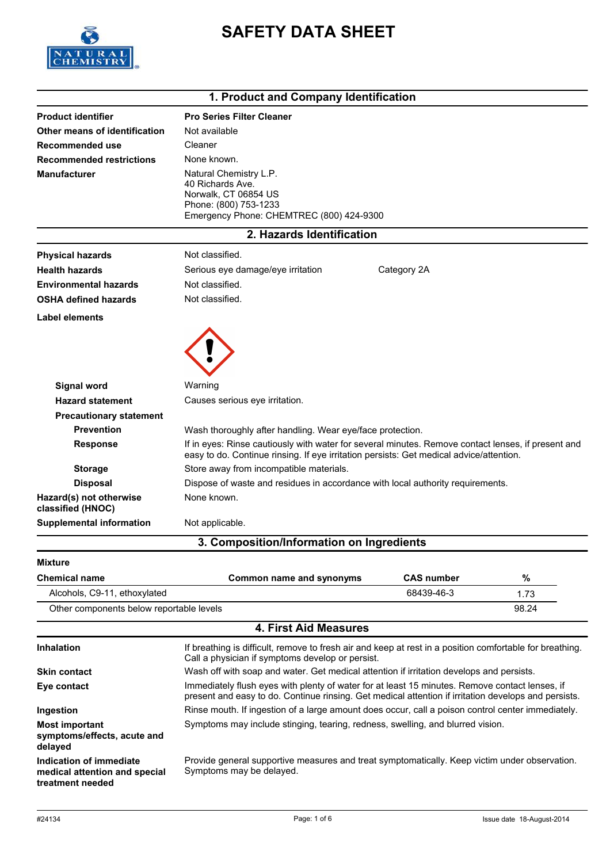

# **SAFETY DATA SHEET**

### **1. Product and Company Identification**

| <b>Product identifier</b>                    | <b>Pro Series Filter Cleaner</b>                                                                                                                                                              |  |  |  |
|----------------------------------------------|-----------------------------------------------------------------------------------------------------------------------------------------------------------------------------------------------|--|--|--|
| Other means of identification                | Not available                                                                                                                                                                                 |  |  |  |
| <b>Recommended use</b>                       | Cleaner                                                                                                                                                                                       |  |  |  |
| <b>Recommended restrictions</b>              | None known.                                                                                                                                                                                   |  |  |  |
| <b>Manufacturer</b>                          | Natural Chemistry L.P.<br>40 Richards Ave.<br>Norwalk, CT 06854 US<br>Phone: (800) 753-1233<br>Emergency Phone: CHEMTREC (800) 424-9300                                                       |  |  |  |
|                                              | 2. Hazards Identification                                                                                                                                                                     |  |  |  |
| <b>Physical hazards</b>                      | Not classified.                                                                                                                                                                               |  |  |  |
| <b>Health hazards</b>                        | Serious eye damage/eye irritation<br>Category 2A                                                                                                                                              |  |  |  |
| <b>Environmental hazards</b>                 | Not classified.                                                                                                                                                                               |  |  |  |
| <b>OSHA defined hazards</b>                  | Not classified.                                                                                                                                                                               |  |  |  |
| Label elements                               |                                                                                                                                                                                               |  |  |  |
| <b>Signal word</b>                           | Warning                                                                                                                                                                                       |  |  |  |
| <b>Hazard statement</b>                      | Causes serious eye irritation.                                                                                                                                                                |  |  |  |
| <b>Precautionary statement</b>               |                                                                                                                                                                                               |  |  |  |
| <b>Prevention</b>                            | Wash thoroughly after handling. Wear eye/face protection.                                                                                                                                     |  |  |  |
| <b>Response</b>                              | If in eyes: Rinse cautiously with water for several minutes. Remove contact lenses, if present and<br>easy to do. Continue rinsing. If eye irritation persists: Get medical advice/attention. |  |  |  |
| <b>Storage</b>                               | Store away from incompatible materials.                                                                                                                                                       |  |  |  |
| <b>Disposal</b>                              | Dispose of waste and residues in accordance with local authority requirements.                                                                                                                |  |  |  |
| Hazard(s) not otherwise<br>classified (HNOC) | None known.                                                                                                                                                                                   |  |  |  |
| <b>Supplemental information</b>              | Not applicable.                                                                                                                                                                               |  |  |  |
|                                              | 3. Composition/Information on Ingredients                                                                                                                                                     |  |  |  |
| <b>Mixture</b>                               |                                                                                                                                                                                               |  |  |  |
| <b>Chemical name</b>                         | <b>CAS number</b><br>$\%$<br><b>Common name and synonyms</b>                                                                                                                                  |  |  |  |

| <b>Chemical name</b>                     | Common name and synonyms | <b>CAS number</b> | "∞    |
|------------------------------------------|--------------------------|-------------------|-------|
| Alcohols, C9-11, ethoxylated             |                          | 68439-46-3        | 1.73  |
| Other components below reportable levels |                          |                   | 98.24 |
|                                          | 4. First Aid Measures    |                   |       |

|                                                                              | 7. I II JL AIU MCQJUI CJ                                                                                                                                                                               |  |  |
|------------------------------------------------------------------------------|--------------------------------------------------------------------------------------------------------------------------------------------------------------------------------------------------------|--|--|
| <b>Inhalation</b>                                                            | If breathing is difficult, remove to fresh air and keep at rest in a position comfortable for breathing.<br>Call a physician if symptoms develop or persist.                                           |  |  |
| <b>Skin contact</b>                                                          | Wash off with soap and water. Get medical attention if irritation develops and persists.                                                                                                               |  |  |
| Eye contact                                                                  | Immediately flush eyes with plenty of water for at least 15 minutes. Remove contact lenses, if<br>present and easy to do. Continue rinsing. Get medical attention if irritation develops and persists. |  |  |
| Ingestion                                                                    | Rinse mouth. If ingestion of a large amount does occur, call a poison control center immediately.                                                                                                      |  |  |
| <b>Most important</b><br>symptoms/effects, acute and<br>delayed              | Symptoms may include stinging, tearing, redness, swelling, and blurred vision.                                                                                                                         |  |  |
| Indication of immediate<br>medical attention and special<br>treatment needed | Provide general supportive measures and treat symptomatically. Keep victim under observation.<br>Symptoms may be delayed.                                                                              |  |  |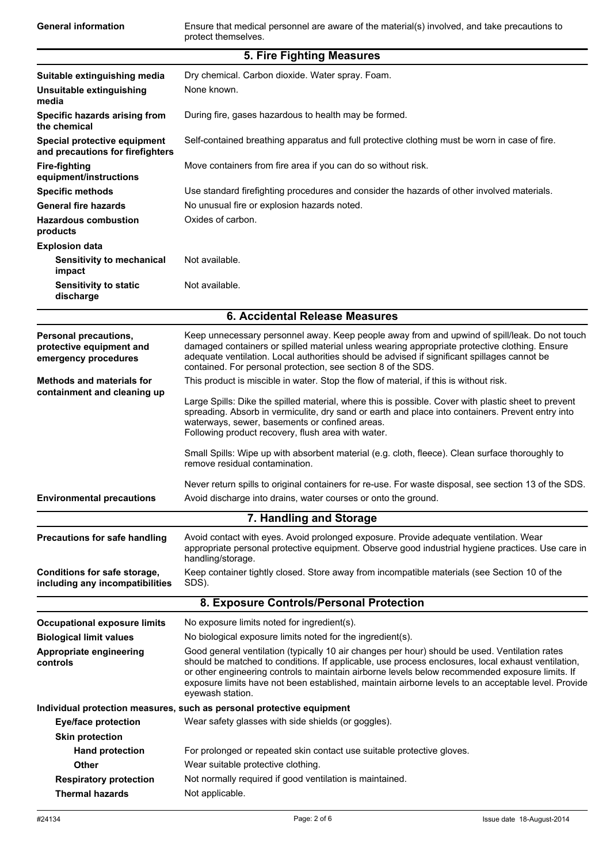General information **Ensure that medical personnel are aware of the material(s) involved, and take precautions to** protect themselves.

|                                                                           | 5. Fire Fighting Measures                                                                                                                                                                                                                                                                                                                                       |  |
|---------------------------------------------------------------------------|-----------------------------------------------------------------------------------------------------------------------------------------------------------------------------------------------------------------------------------------------------------------------------------------------------------------------------------------------------------------|--|
| Suitable extinguishing media                                              | Dry chemical. Carbon dioxide. Water spray. Foam.                                                                                                                                                                                                                                                                                                                |  |
| Unsuitable extinguishing<br>media                                         | None known.                                                                                                                                                                                                                                                                                                                                                     |  |
| Specific hazards arising from<br>the chemical                             | During fire, gases hazardous to health may be formed.                                                                                                                                                                                                                                                                                                           |  |
| Special protective equipment<br>and precautions for firefighters          | Self-contained breathing apparatus and full protective clothing must be worn in case of fire.                                                                                                                                                                                                                                                                   |  |
| <b>Fire-fighting</b><br>equipment/instructions                            | Move containers from fire area if you can do so without risk.                                                                                                                                                                                                                                                                                                   |  |
| <b>Specific methods</b>                                                   | Use standard firefighting procedures and consider the hazards of other involved materials.                                                                                                                                                                                                                                                                      |  |
| <b>General fire hazards</b>                                               | No unusual fire or explosion hazards noted.                                                                                                                                                                                                                                                                                                                     |  |
| <b>Hazardous combustion</b><br>products                                   | Oxides of carbon.                                                                                                                                                                                                                                                                                                                                               |  |
| <b>Explosion data</b>                                                     |                                                                                                                                                                                                                                                                                                                                                                 |  |
| Sensitivity to mechanical<br>impact                                       | Not available.                                                                                                                                                                                                                                                                                                                                                  |  |
| <b>Sensitivity to static</b><br>discharge                                 | Not available.                                                                                                                                                                                                                                                                                                                                                  |  |
|                                                                           | 6. Accidental Release Measures                                                                                                                                                                                                                                                                                                                                  |  |
| Personal precautions,<br>protective equipment and<br>emergency procedures | Keep unnecessary personnel away. Keep people away from and upwind of spill/leak. Do not touch<br>damaged containers or spilled material unless wearing appropriate protective clothing. Ensure<br>adequate ventilation. Local authorities should be advised if significant spillages cannot be<br>contained. For personal protection, see section 8 of the SDS. |  |
| <b>Methods and materials for</b><br>containment and cleaning up           | This product is miscible in water. Stop the flow of material, if this is without risk.                                                                                                                                                                                                                                                                          |  |
|                                                                           | Large Spills: Dike the spilled material, where this is possible. Cover with plastic sheet to prevent<br>spreading. Absorb in vermiculite, dry sand or earth and place into containers. Prevent entry into<br>waterways, sewer, basements or confined areas.<br>Following product recovery, flush area with water.                                               |  |
|                                                                           | Small Spills: Wipe up with absorbent material (e.g. cloth, fleece). Clean surface thoroughly to<br>remove residual contamination.                                                                                                                                                                                                                               |  |
|                                                                           | Never return spills to original containers for re-use. For waste disposal, see section 13 of the SDS.                                                                                                                                                                                                                                                           |  |
| <b>Environmental precautions</b>                                          | Avoid discharge into drains, water courses or onto the ground.                                                                                                                                                                                                                                                                                                  |  |
|                                                                           | 7. Handling and Storage                                                                                                                                                                                                                                                                                                                                         |  |
| <b>Precautions for safe handling</b>                                      | Avoid contact with eyes. Avoid prolonged exposure. Provide adequate ventilation. Wear<br>appropriate personal protective equipment. Observe good industrial hygiene practices. Use care in<br>handling/storage.                                                                                                                                                 |  |
| Conditions for safe storage,<br>including any incompatibilities           | Keep container tightly closed. Store away from incompatible materials (see Section 10 of the<br>SDS).                                                                                                                                                                                                                                                           |  |
|                                                                           | 8. Exposure Controls/Personal Protection                                                                                                                                                                                                                                                                                                                        |  |
| <b>Occupational exposure limits</b>                                       | No exposure limits noted for ingredient(s).                                                                                                                                                                                                                                                                                                                     |  |
| <b>Biological limit values</b>                                            | No biological exposure limits noted for the ingredient(s).                                                                                                                                                                                                                                                                                                      |  |
| Appropriate engineering                                                   | Good general ventilation (typically 10 air changes per hour) should be used. Ventilation rates                                                                                                                                                                                                                                                                  |  |
| controls                                                                  | should be matched to conditions. If applicable, use process enclosures, local exhaust ventilation,<br>or other engineering controls to maintain airborne levels below recommended exposure limits. If<br>exposure limits have not been established, maintain airborne levels to an acceptable level. Provide<br>eyewash station.                                |  |
|                                                                           | Individual protection measures, such as personal protective equipment                                                                                                                                                                                                                                                                                           |  |
| <b>Eye/face protection</b>                                                | Wear safety glasses with side shields (or goggles).                                                                                                                                                                                                                                                                                                             |  |
| <b>Skin protection</b>                                                    |                                                                                                                                                                                                                                                                                                                                                                 |  |
| <b>Hand protection</b>                                                    | For prolonged or repeated skin contact use suitable protective gloves.                                                                                                                                                                                                                                                                                          |  |
| Other                                                                     | Wear suitable protective clothing.                                                                                                                                                                                                                                                                                                                              |  |
| <b>Respiratory protection</b>                                             | Not normally required if good ventilation is maintained.                                                                                                                                                                                                                                                                                                        |  |
| <b>Thermal hazards</b>                                                    | Not applicable.                                                                                                                                                                                                                                                                                                                                                 |  |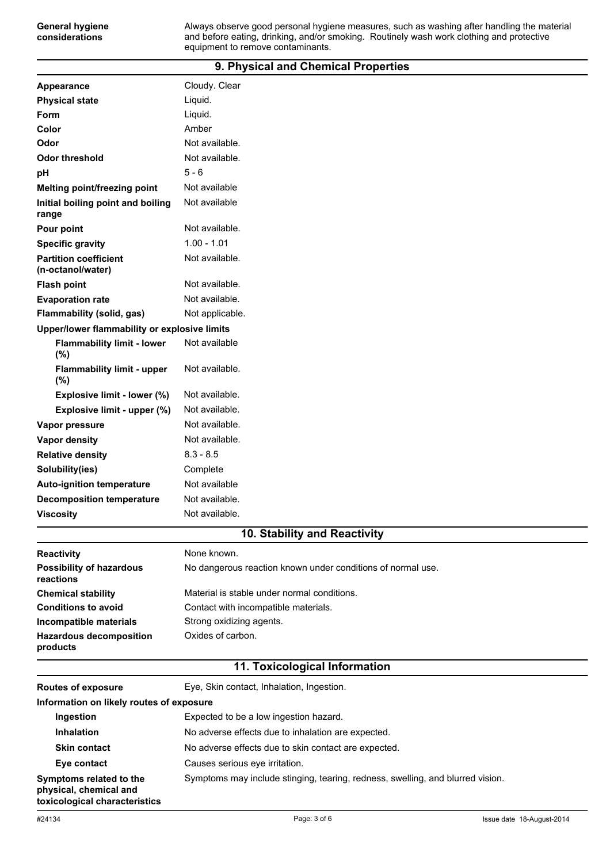#### **9. Physical and Chemical Properties**

| <b>Appearance</b>                                 | Cloudy. Clear   |  |  |
|---------------------------------------------------|-----------------|--|--|
| <b>Physical state</b>                             | Liquid.         |  |  |
| Form                                              | Liquid.         |  |  |
| Color                                             | Amber           |  |  |
| Odor                                              | Not available.  |  |  |
| <b>Odor threshold</b>                             | Not available.  |  |  |
| рH                                                | $5 - 6$         |  |  |
| Melting point/freezing point                      | Not available   |  |  |
| Initial boiling point and boiling<br>range        | Not available   |  |  |
| Pour point                                        | Not available.  |  |  |
| <b>Specific gravity</b>                           | $1.00 - 1.01$   |  |  |
| <b>Partition coefficient</b><br>(n-octanol/water) | Not available.  |  |  |
| <b>Flash point</b>                                | Not available.  |  |  |
| <b>Evaporation rate</b>                           | Not available.  |  |  |
| <b>Flammability (solid, gas)</b>                  | Not applicable. |  |  |
| Upper/lower flammability or explosive limits      |                 |  |  |
| <b>Flammability limit - lower</b><br>(%)          | Not available   |  |  |
| <b>Flammability limit - upper</b><br>(%)          | Not available.  |  |  |
| Explosive limit - lower (%)                       | Not available.  |  |  |
| Explosive limit - upper (%)                       | Not available.  |  |  |
| Vapor pressure                                    | Not available.  |  |  |
| <b>Vapor density</b>                              | Not available.  |  |  |
| <b>Relative density</b>                           | $8.3 - 8.5$     |  |  |
| Solubility(ies)                                   | Complete        |  |  |
| <b>Auto-ignition temperature</b>                  | Not available   |  |  |
| <b>Decomposition temperature</b>                  | Not available.  |  |  |
| <b>Viscosity</b>                                  | Not available.  |  |  |

#### **10. Stability and Reactivity**

| <b>Reactivity</b>                            | None known.                                                 |  |
|----------------------------------------------|-------------------------------------------------------------|--|
| <b>Possibility of hazardous</b><br>reactions | No dangerous reaction known under conditions of normal use. |  |
| <b>Chemical stability</b>                    | Material is stable under normal conditions.                 |  |
| <b>Conditions to avoid</b>                   | Contact with incompatible materials.                        |  |
| Incompatible materials                       | Strong oxidizing agents.                                    |  |
| <b>Hazardous decomposition</b><br>products   | Oxides of carbon.                                           |  |

#### **11. Toxicological Information**

| <b>Routes of exposure</b>                                                          | Eye, Skin contact, Inhalation, Ingestion.                                      |  |  |
|------------------------------------------------------------------------------------|--------------------------------------------------------------------------------|--|--|
| Information on likely routes of exposure                                           |                                                                                |  |  |
| Ingestion                                                                          | Expected to be a low ingestion hazard.                                         |  |  |
| <b>Inhalation</b>                                                                  | No adverse effects due to inhalation are expected.                             |  |  |
| <b>Skin contact</b>                                                                | No adverse effects due to skin contact are expected.                           |  |  |
| Eye contact                                                                        | Causes serious eye irritation.                                                 |  |  |
| Symptoms related to the<br>physical, chemical and<br>toxicological characteristics | Symptoms may include stinging, tearing, redness, swelling, and blurred vision. |  |  |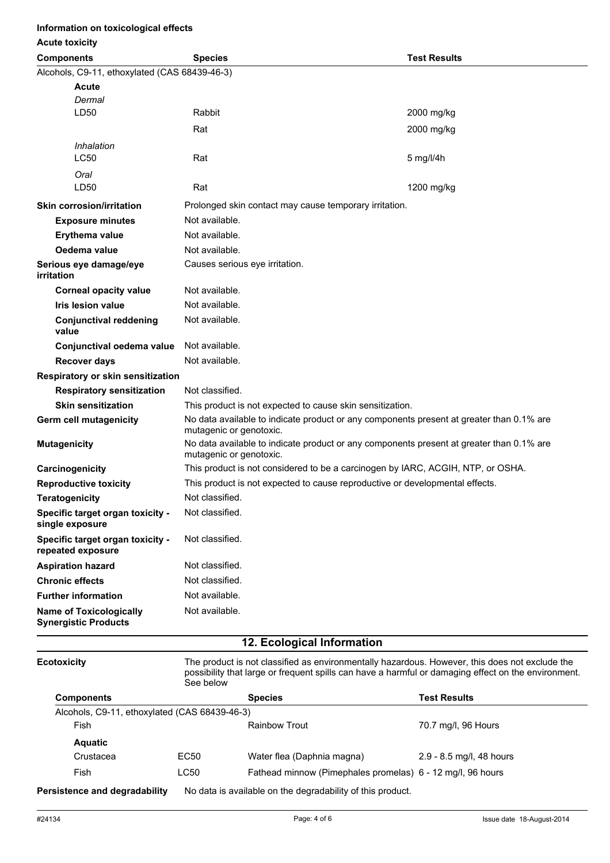#### **Information on toxicological effects**

#### **Acute toxicity**

| <b>AVULU LUAIVILY</b>                                         |                                                                                                                     |                     |
|---------------------------------------------------------------|---------------------------------------------------------------------------------------------------------------------|---------------------|
| <b>Components</b>                                             | <b>Species</b>                                                                                                      | <b>Test Results</b> |
| Alcohols, C9-11, ethoxylated (CAS 68439-46-3)                 |                                                                                                                     |                     |
| Acute                                                         |                                                                                                                     |                     |
| Dermal                                                        |                                                                                                                     |                     |
| LD50                                                          | Rabbit                                                                                                              | 2000 mg/kg          |
|                                                               | Rat                                                                                                                 | 2000 mg/kg          |
| Inhalation                                                    |                                                                                                                     |                     |
| <b>LC50</b>                                                   | Rat                                                                                                                 | $5$ mg/l/4h         |
| Oral                                                          |                                                                                                                     |                     |
| LD50                                                          | Rat                                                                                                                 | 1200 mg/kg          |
| <b>Skin corrosion/irritation</b>                              | Prolonged skin contact may cause temporary irritation.                                                              |                     |
| <b>Exposure minutes</b>                                       | Not available.                                                                                                      |                     |
| <b>Erythema value</b>                                         | Not available.                                                                                                      |                     |
| Oedema value                                                  | Not available.                                                                                                      |                     |
| Serious eye damage/eye<br>irritation                          | Causes serious eye irritation.                                                                                      |                     |
| <b>Corneal opacity value</b>                                  | Not available.                                                                                                      |                     |
| <b>Iris lesion value</b>                                      | Not available.                                                                                                      |                     |
| <b>Conjunctival reddening</b><br>value                        | Not available.                                                                                                      |                     |
| Conjunctival oedema value                                     | Not available.                                                                                                      |                     |
| <b>Recover days</b>                                           | Not available.                                                                                                      |                     |
| Respiratory or skin sensitization                             |                                                                                                                     |                     |
| <b>Respiratory sensitization</b>                              | Not classified.                                                                                                     |                     |
| <b>Skin sensitization</b>                                     | This product is not expected to cause skin sensitization.                                                           |                     |
| Germ cell mutagenicity                                        | No data available to indicate product or any components present at greater than 0.1% are<br>mutagenic or genotoxic. |                     |
| <b>Mutagenicity</b>                                           | No data available to indicate product or any components present at greater than 0.1% are<br>mutagenic or genotoxic. |                     |
| Carcinogenicity                                               | This product is not considered to be a carcinogen by IARC, ACGIH, NTP, or OSHA.                                     |                     |
| <b>Reproductive toxicity</b>                                  | This product is not expected to cause reproductive or developmental effects.                                        |                     |
| <b>Teratogenicity</b>                                         | Not classified.                                                                                                     |                     |
| Specific target organ toxicity -<br>single exposure           | Not classified.                                                                                                     |                     |
| Specific target organ toxicity -<br>repeated exposure         | Not classified.                                                                                                     |                     |
| <b>Aspiration hazard</b>                                      | Not classified.                                                                                                     |                     |
| <b>Chronic effects</b>                                        | Not classified.                                                                                                     |                     |
| <b>Further information</b>                                    | Not available.                                                                                                      |                     |
| <b>Name of Toxicologically</b><br><b>Synergistic Products</b> | Not available.                                                                                                      |                     |

#### **12. Ecological Information**

**Ecotoxicity** The product is not classified as environmentally hazardous. However, this does not exclude the possibility that large or frequent spills can have a harmful or damaging effect on the environment. See below

| <b>Components</b>                             |      | <b>Species</b>                                             | <b>Test Results</b>      |  |
|-----------------------------------------------|------|------------------------------------------------------------|--------------------------|--|
| Alcohols, C9-11, ethoxylated (CAS 68439-46-3) |      |                                                            |                          |  |
| Fish                                          |      | Rainbow Trout                                              | 70.7 mg/l, 96 Hours      |  |
| <b>Aquatic</b>                                |      |                                                            |                          |  |
| Crustacea                                     | EC50 | Water flea (Daphnia magna)                                 | 2.9 - 8.5 mg/l, 48 hours |  |
| Fish                                          | LC50 | Fathead minnow (Pimephales promelas) 6 - 12 mg/l, 96 hours |                          |  |
| Persistence and degradability                 |      | No data is available on the degradability of this product. |                          |  |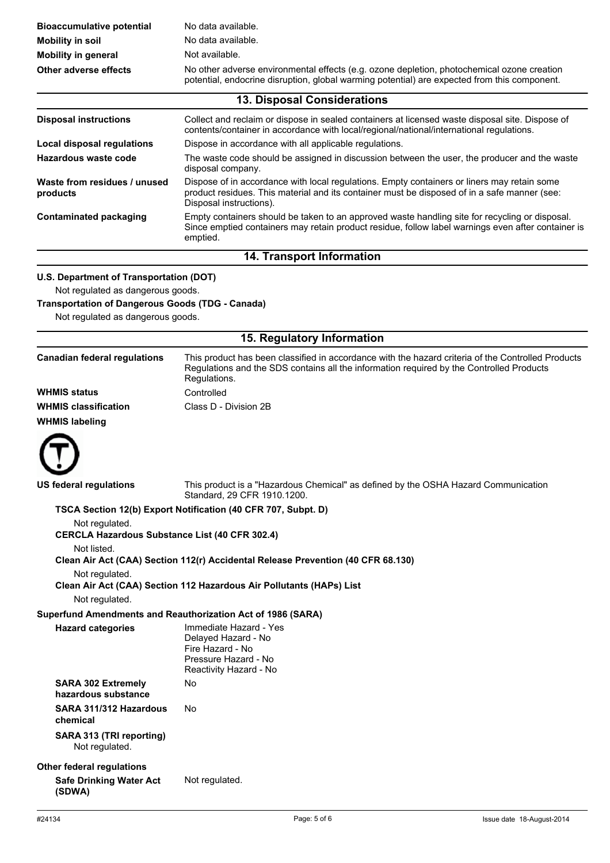| <b>Bioaccumulative potential</b>                                        | No data available.<br>No data available.                                                                                                                                                                               |  |
|-------------------------------------------------------------------------|------------------------------------------------------------------------------------------------------------------------------------------------------------------------------------------------------------------------|--|
| <b>Mobility in soil</b><br>Not available.<br><b>Mobility in general</b> |                                                                                                                                                                                                                        |  |
| Other adverse effects                                                   | No other adverse environmental effects (e.g. ozone depletion, photochemical ozone creation                                                                                                                             |  |
|                                                                         | potential, endocrine disruption, global warming potential) are expected from this component.                                                                                                                           |  |
|                                                                         | 13. Disposal Considerations                                                                                                                                                                                            |  |
| <b>Disposal instructions</b>                                            | Collect and reclaim or dispose in sealed containers at licensed waste disposal site. Dispose of<br>contents/container in accordance with local/regional/national/international regulations.                            |  |
| <b>Local disposal regulations</b>                                       | Dispose in accordance with all applicable regulations.                                                                                                                                                                 |  |
| <b>Hazardous waste code</b>                                             | The waste code should be assigned in discussion between the user, the producer and the waste<br>disposal company.                                                                                                      |  |
| Waste from residues / unused<br>products                                | Dispose of in accordance with local regulations. Empty containers or liners may retain some<br>product residues. This material and its container must be disposed of in a safe manner (see:<br>Disposal instructions). |  |
| <b>Contaminated packaging</b>                                           | Empty containers should be taken to an approved waste handling site for recycling or disposal.<br>Since emptied containers may retain product residue, follow label warnings even after container is<br>emptied.       |  |
|                                                                         | 14. Transport Information                                                                                                                                                                                              |  |
| U.S. Department of Transportation (DOT)                                 |                                                                                                                                                                                                                        |  |
| Not regulated as dangerous goods.                                       |                                                                                                                                                                                                                        |  |
| <b>Transportation of Dangerous Goods (TDG - Canada)</b>                 |                                                                                                                                                                                                                        |  |
| Not regulated as dangerous goods.                                       |                                                                                                                                                                                                                        |  |
|                                                                         | 15. Regulatory Information                                                                                                                                                                                             |  |
| <b>Canadian federal regulations</b>                                     | This product has been classified in accordance with the hazard criteria of the Controlled Products<br>Regulations and the SDS contains all the information required by the Controlled Products<br>Regulations.         |  |
| <b>WHMIS status</b>                                                     | Controlled                                                                                                                                                                                                             |  |
| <b>WHMIS classification</b>                                             | Class D - Division 2B                                                                                                                                                                                                  |  |
| <b>WHMIS labeling</b>                                                   |                                                                                                                                                                                                                        |  |
|                                                                         |                                                                                                                                                                                                                        |  |
| US federal regulations                                                  | This product is a "Hazardous Chemical" as defined by the OSHA Hazard Communication<br>Standard, 29 CFR 1910.1200.                                                                                                      |  |
|                                                                         | TSCA Section 12(b) Export Notification (40 CFR 707, Subpt. D)                                                                                                                                                          |  |
| Not regulated.<br><b>CERCLA Hazardous Substance List (40 CFR 302.4)</b> |                                                                                                                                                                                                                        |  |
| Not listed.                                                             | Clean Air Act (CAA) Section 112(r) Accidental Release Prevention (40 CFR 68.130)                                                                                                                                       |  |
| Not regulated.                                                          | Clean Air Act (CAA) Section 112 Hazardous Air Pollutants (HAPs) List                                                                                                                                                   |  |
| Not regulated.                                                          |                                                                                                                                                                                                                        |  |
| <b>Hazard categories</b>                                                | Superfund Amendments and Reauthorization Act of 1986 (SARA)<br>Immediate Hazard - Yes                                                                                                                                  |  |
|                                                                         | Delayed Hazard - No<br>Fire Hazard - No<br>Pressure Hazard - No<br>Reactivity Hazard - No                                                                                                                              |  |
| <b>SARA 302 Extremely</b><br>hazardous substance                        | No                                                                                                                                                                                                                     |  |
| SARA 311/312 Hazardous<br>chemical                                      | No                                                                                                                                                                                                                     |  |
| SARA 313 (TRI reporting)<br>Not regulated.                              |                                                                                                                                                                                                                        |  |
| <b>Other federal regulations</b>                                        |                                                                                                                                                                                                                        |  |
| <b>Safe Drinking Water Act</b><br>(SDWA)                                | Not regulated.                                                                                                                                                                                                         |  |